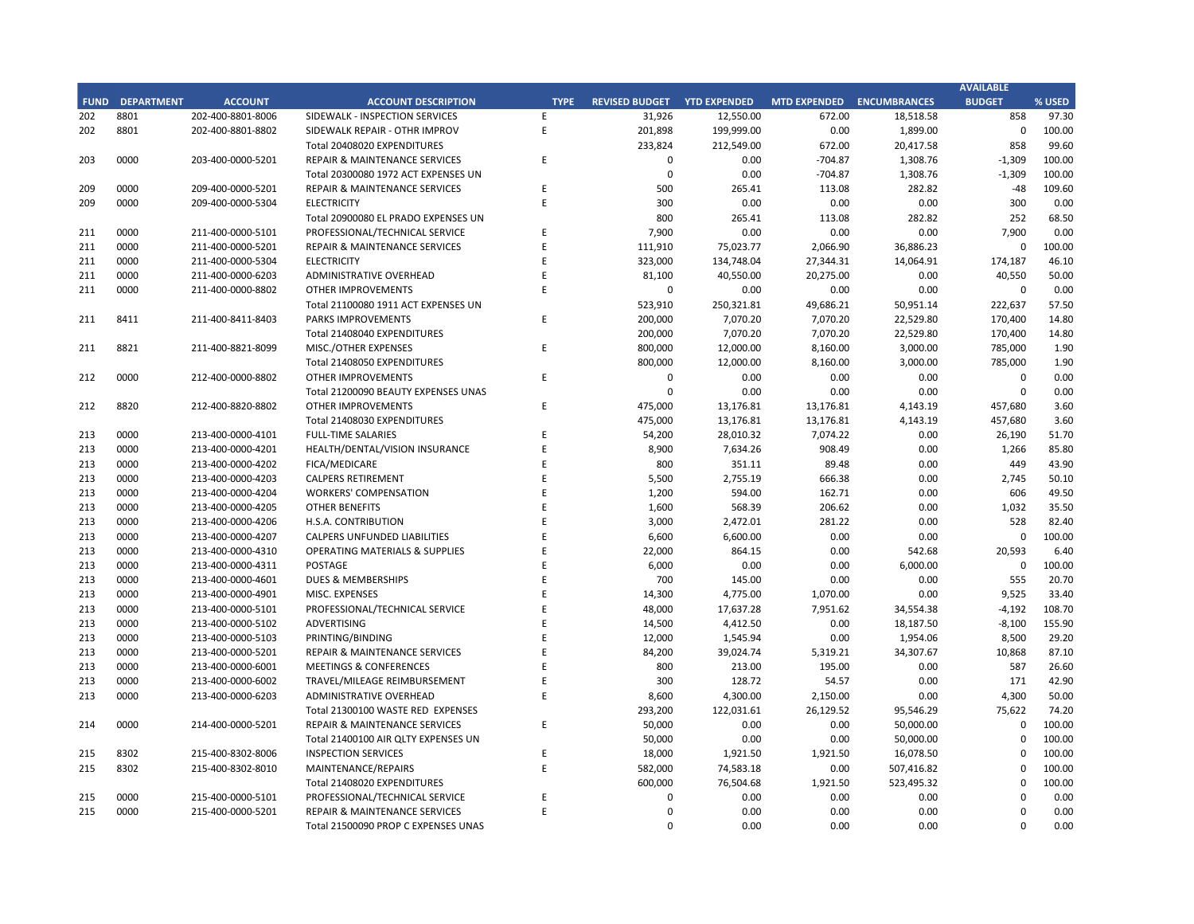## **CITY OF RANCHO PALOS VERDES SUMMARY OF EXPENDITURES - ALL FUNDS December 31, 2018**

|             |                                     |                       | FY 2018-19         |                    |                      | FY 2017-18  |                      |                          |           |
|-------------|-------------------------------------|-----------------------|--------------------|--------------------|----------------------|-------------|----------------------|--------------------------|-----------|
| <b>FUND</b> | <b>FUND DESCRIPTION</b>             | <b>REVISED BUDGET</b> | <b>YTD ACTUALS</b> | <b>YTD ENCUMB.</b> | <b>YTD ACTUALS +</b> | <b>USED</b> | <b>YTD ACTUALS +</b> | YEAR OVER YEAR CHANGE    |           |
|             | 101 GENERAL FUND                    |                       |                    |                    | <b>ENCUMB.</b>       |             | <b>ENCUMB.</b>       | <b>ACTUALS + ENCUMB.</b> |           |
|             | <b>CITY COUNCIL</b>                 | \$<br>161,100         | 57,873 \$<br>\$    | $8,725$ \$         | 66,598               | 41.3%       | \$<br>71,014         | \$<br>(4, 416)           | $-6.2%$   |
|             | <b>LEGAL SERVICES</b>               | 925,000               | 454,949            | $\mathbf 0$        | 454,949              | 49.2%       | 758,092              | (303, 143)               | $-40.0\%$ |
|             | <b>CITY CLERK</b>                   | 621,200               | 213,326            | 4,243              | 217,569              | 35.0%       | 395,291              | (177, 721)               | $-45.0%$  |
|             | <b>CITY MANAGER</b>                 | 856,500               | 436,988            | 29,100             | 466,088              | 54.4%       | 662,659              | (196, 572)               | $-29.7%$  |
|             | <b>CITY ADMINISTRATION</b>          | 555,750               | 185,418            | 50,901             | 236,320              | 42.5%       | 248,540              | (12, 220)                | $-4.9%$   |
|             | <b>HUMAN RESOURCES</b>              | 365,600               | 167,621            | 13,893             | 181,515              | 49.6%       | 319,452              | (137, 937)               | $-43.2%$  |
|             | <b>INFORMATION TECHNOLOGIES</b>     | 1,261,463             | 487,194            | 267,663            | 754,858              | 59.8%       | 750,388              | 4,470                    | 0.6%      |
|             | <b>FINANCE</b>                      | 1,604,950             | 733,539            | 46,211             | 779,750              | 48.6%       | 828,730              | (48,980)                 | $-5.9%$   |
|             | <b>PUBLIC WORKS</b>                 | 6,139,977             | 1,766,160          | 1,437,638          | 3,203,798            | 52.2%       | 3,761,846            | (558, 048)               | $-14.8%$  |
|             | <b>COMMUNITY DEVELOPMENT</b>        | 3,798,174             | 1,503,457          | 606,410            | 2,109,867            | 55.5%       | 2,020,162            | 89,704                   | 4.4%      |
|             | <b>RECREATIONAL &amp; PARKS</b>     | 2,895,000             | 1,360,164          | 69,044             | 1,429,208            | 49.4%       | 1,501,555            | (72, 347)                | $-4.8%$   |
|             | <b>PUBLIC SAFETY</b>                | 7,926,749             | 2,378,439          | 5,255,591          | 7,634,030            | 96.3%       | 7,088,895            | 545,135                  | 7.7%      |
|             | NON-DEPARTMENTAL                    | 1,431,037             | 479,221            | 116,604            | 595,825              | 41.6%       | 661,755              | (65, 930)                | $-10.0%$  |
|             | <b>TRANSFERS OUT</b>                | 4,564,700             | 2,282,350          | $\pmb{0}$          | 2,282,350            | 50.0%       | 2,406,750            | (124, 400)               | $-5.2%$   |
|             | <b>TOTAL GENERAL FUND</b>           | 33,107,200            | 12,506,701         | 7,906,023          | 20,412,723           | 61.7%       | 21,475,128           | (1,062,404)              | $-4.9%$   |
|             |                                     |                       |                    |                    |                      |             |                      |                          |           |
|             | <b>200 SPECIAL REVENUE FUNDS</b>    |                       |                    |                    |                      |             |                      |                          |           |
|             | 202 STREET MAINTENANCE              | 1,634,786             | 377,349            | 949,347            | 1,326,696            | 81.2%       | 1,558,308            | (231, 612)               | $-14.9%$  |
|             | 203 1972 ACT LANDSCAPING & LIGHTING | $\pmb{0}$             | $\mathbf{0}$       | $\mathbf{0}$       | $\mathbf 0$          | 0.0%        | 1,309                | (1,309)                  | $-100.0%$ |
|             | 209 EL PRADO LIGHTING DISTRICT      | 800                   | 303                | 323                | 625                  | 78.1%       | 548                  | 77                       | 14.0%     |
|             | 211 1911 ACT STREET LIGHTING        | 2,223,448             | 335,083            | 1,440,065          | 1,775,148            | 79.8%       | 345,873              | 1,429,275                | 413.2%    |
|             | 212 BEAUTIFICATION                  | 623,544               | 291,049            | 23,887             | 314,937              | 50.5%       | 17,320               | 297,617                  | 1718.3%   |
|             | 213 WASTE REDUCTION                 | 317,100               | 97,019             | 75,935             | 172,954              | 54.5%       | 217,578              | (44, 624)                | $-20.5%$  |
|             | 214 AIR QUALITY MANAGEMENT          | 50,000                | 25,000             | 25,000             | 50,000               | 100.0%      | 50,000               | 0                        | 0.0%      |
|             | 215 PROPOSITION C                   | 1,100,000             | 45,447             | 614,553            | 660,000              | 60.0%       | 600,000              | 60,000                   | 10.0%     |
|             | 216 PROPOSITION A                   | 1,250,154             | 339,139            | 389,975            | 729,114              | 58.3%       | 928,487              | (199, 373)               | $-21.5%$  |
|             | 217 PUBLIC SAFETY GRANTS            | 130,000               | 65,000             | $\mathbf 0$        | 65,000               | 50.0%       | 70,000               | (5,000)                  | $-7.1%$   |
|             | 220 MEASURE R                       | 550,000               | 89,918             | 213,793            | 303,711              | 55.2%       | 0                    | 303,711                  | 0.0%      |
|             | 221 MEASURE M                       | 536,000               | 275,875            | 328,702            | 604,577              | 112.8%      | 159,384              | 445,193                  | 279.3%    |
|             | 222 HABITAT RESTORATION             | 179,500               | 74,749             | 74,751             | 149,500              | 83.3%       | 180,453              | (30, 953)                | $-17.2%$  |
|             | 223 SUBREGION ONE MAINTENANCE       | 46,800                | 22,630             | 16,770             | 39,400               | 84.2%       | 31,246               | 8,154                    | 26.1%     |
|             | 224 MEASURE A MAINTENANCE           | 90,000                | 45,000             | $\Omega$           | 45,000               | 50.0%       | 45,000               | $\Omega$                 | 0.0%      |
|             | 225 ABALONE COVE SEWER DISTRICT     | 431,906               | 12,923             | 2,272              | 15,195               | 3.5%        | 115,717              | (100, 522)               | $-86.9%$  |